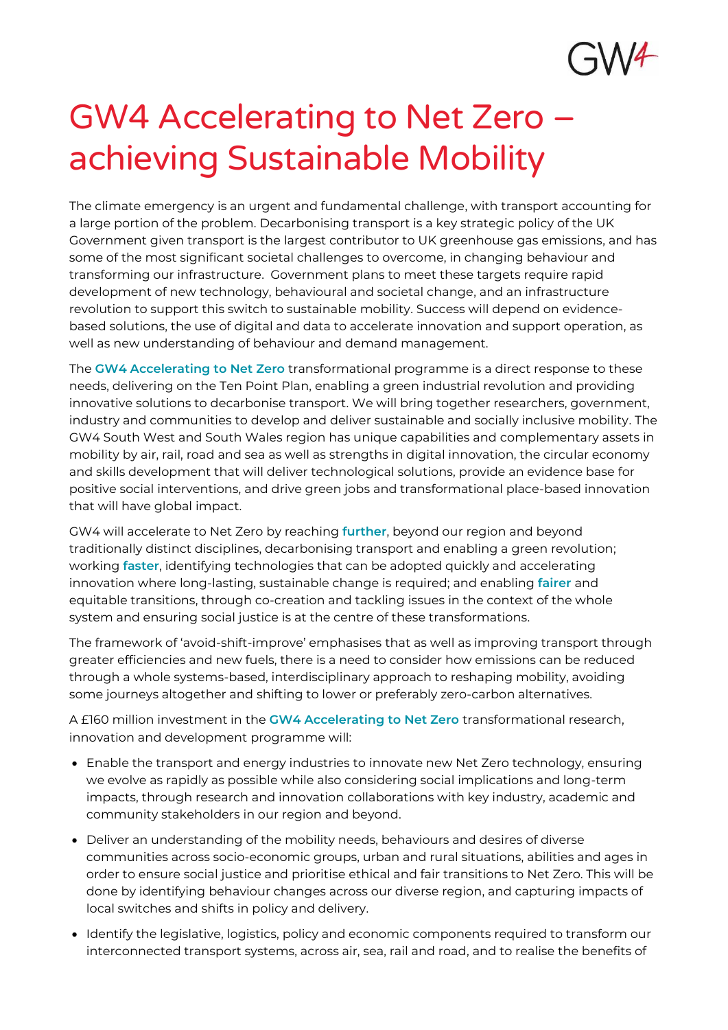

# GW4 Accelerating to Net Zero – achieving Sustainable Mobility

The climate emergency is an urgent and fundamental challenge, with transport accounting for a large portion of the problem. Decarbonising transport is a key strategic policy of the UK Government given transport is the largest contributor to UK greenhouse gas emissions, and has some of the most significant societal challenges to overcome, in changing behaviour and transforming our infrastructure. Government plans to meet these targets require rapid development of new technology, behavioural and societal change, and an infrastructure revolution to support this switch to sustainable mobility. Success will depend on evidencebased solutions, the use of digital and data to accelerate innovation and support operation, as well as new understanding of behaviour and demand management.

The GW4 Accelerating to Net Zero transformational programme is a direct response to these needs, delivering on the Ten Point Plan, enabling a green industrial revolution and providing innovative solutions to decarbonise transport. We will bring together researchers, government, industry and communities to develop and deliver sustainable and socially inclusive mobility. The GW4 South West and South Wales region has unique capabilities and complementary assets in mobility by air, rail, road and sea as well as strengths in digital innovation, the circular economy and skills development that will deliver technological solutions, provide an evidence base for positive social interventions, and drive green jobs and transformational place-based innovation that will have global impact.

GW4 will accelerate to Net Zero by reaching further, beyond our region and beyond traditionally distinct disciplines, decarbonising transport and enabling a green revolution; working faster, identifying technologies that can be adopted quickly and accelerating innovation where long-lasting, sustainable change is required; and enabling fairer and equitable transitions, through co-creation and tackling issues in the context of the whole system and ensuring social justice is at the centre of these transformations.

The framework of 'avoid-shift-improve' emphasises that as well as improving transport through greater efficiencies and new fuels, there is a need to consider how emissions can be reduced through a whole systems-based, interdisciplinary approach to reshaping mobility, avoiding some journeys altogether and shifting to lower or preferably zero-carbon alternatives.

A £160 million investment in the GW4 Accelerating to Net Zero transformational research, innovation and development programme will:

- Enable the transport and energy industries to innovate new Net Zero technology, ensuring we evolve as rapidly as possible while also considering social implications and long-term impacts, through research and innovation collaborations with key industry, academic and community stakeholders in our region and beyond.
- Deliver an understanding of the mobility needs, behaviours and desires of diverse communities across socio-economic groups, urban and rural situations, abilities and ages in order to ensure social justice and prioritise ethical and fair transitions to Net Zero. This will be done by identifying behaviour changes across our diverse region, and capturing impacts of local switches and shifts in policy and delivery.
- Identify the legislative, logistics, policy and economic components required to transform our interconnected transport systems, across air, sea, rail and road, and to realise the benefits of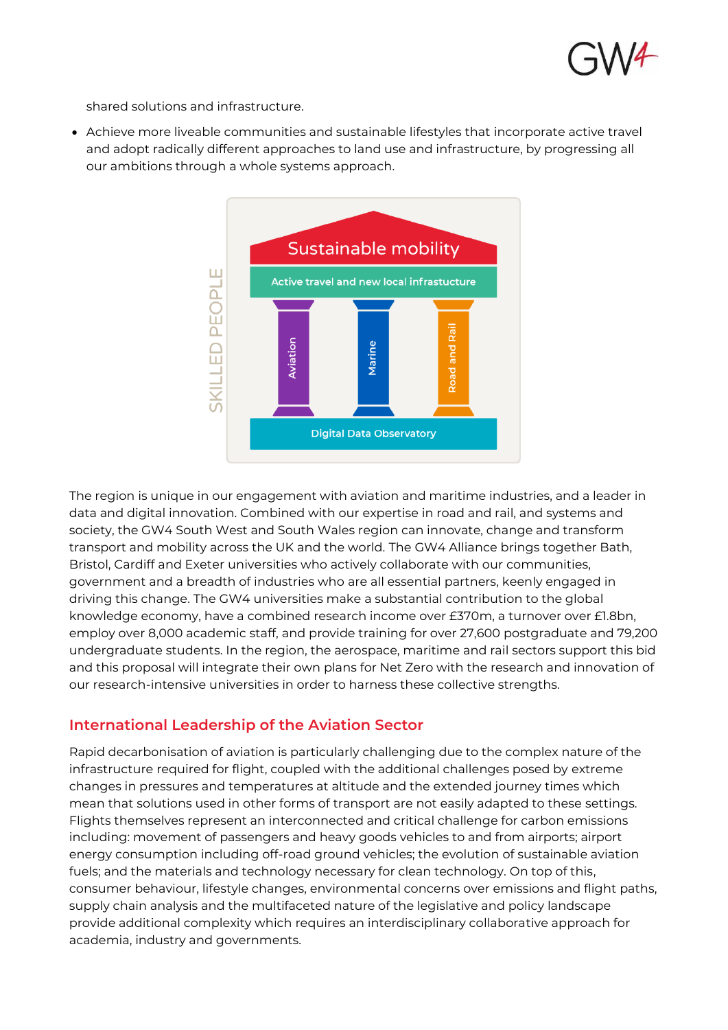

shared solutions and infrastructure.

• Achieve more liveable communities and sustainable lifestyles that incorporate active travel and adopt radically different approaches to land use and infrastructure, by progressing all our ambitions through a whole systems approach.



The region is unique in our engagement with aviation and maritime industries, and a leader in data and digital innovation. Combined with our expertise in road and rail, and systems and society, the GW4 South West and South Wales region can innovate, change and transform transport and mobility across the UK and the world. The GW4 Alliance brings together Bath, Bristol, Cardiff and Exeter universities who actively collaborate with our communities, government and a breadth of industries who are all essential partners, keenly engaged in driving this change. The GW4 universities make a substantial contribution to the global knowledge economy, have a combined research income over £370m, a turnover over £1.8bn, employ over 8,000 academic staff, and provide training for over 27,600 postgraduate and 79,200 undergraduate students. In the region, the aerospace, maritime and rail sectors support this bid and this proposal will integrate their own plans for Net Zero with the research and innovation of our research-intensive universities in order to harness these collective strengths.

### **International Leadership of the Aviation Sector**

Rapid decarbonisation of aviation is particularly challenging due to the complex nature of the infrastructure required for flight, coupled with the additional challenges posed by extreme changes in pressures and temperatures at altitude and the extended journey times which mean that solutions used in other forms of transport are not easily adapted to these settings. Flights themselves represent an interconnected and critical challenge for carbon emissions including: movement of passengers and heavy goods vehicles to and from airports; airport energy consumption including off-road ground vehicles; the evolution of sustainable aviation fuels; and the materials and technology necessary for clean technology. On top of this, consumer behaviour, lifestyle changes, environmental concerns over emissions and flight paths, supply chain analysis and the multifaceted nature of the legislative and policy landscape provide additional complexity which requires an interdisciplinary collaborative approach for academia, industry and governments.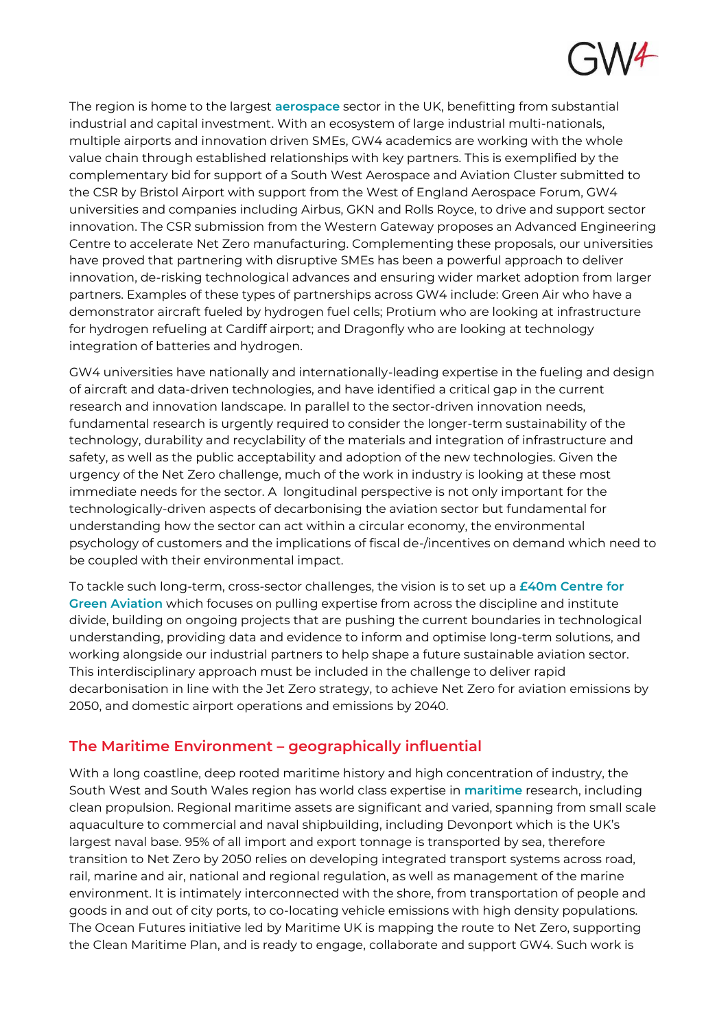

The region is home to the largest aerospace sector in the UK, benefitting from substantial industrial and capital investment. With an ecosystem of large industrial multi-nationals, multiple airports and innovation driven SMEs, GW4 academics are working with the whole value chain through established relationships with key partners. This is exemplified by the complementary bid for support of a South West Aerospace and Aviation Cluster submitted to the CSR by Bristol Airport with support from the West of England Aerospace Forum, GW4 universities and companies including Airbus, GKN and Rolls Royce, to drive and support sector innovation. The CSR submission from the Western Gateway proposes an Advanced Engineering Centre to accelerate Net Zero manufacturing. Complementing these proposals, our universities have proved that partnering with disruptive SMEs has been a powerful approach to deliver innovation, de-risking technological advances and ensuring wider market adoption from larger partners. Examples of these types of partnerships across GW4 include: Green Air who have a demonstrator aircraft fueled by hydrogen fuel cells; Protium who are looking at infrastructure for hydrogen refueling at Cardiff airport; and Dragonfly who are looking at technology integration of batteries and hydrogen.

GW4 universities have nationally and internationally-leading expertise in the fueling and design of aircraft and data-driven technologies, and have identified a critical gap in the current research and innovation landscape. In parallel to the sector-driven innovation needs, fundamental research is urgently required to consider the longer-term sustainability of the technology, durability and recyclability of the materials and integration of infrastructure and safety, as well as the public acceptability and adoption of the new technologies. Given the urgency of the Net Zero challenge, much of the work in industry is looking at these most immediate needs for the sector. A longitudinal perspective is not only important for the technologically-driven aspects of decarbonising the aviation sector but fundamental for understanding how the sector can act within a circular economy, the environmental psychology of customers and the implications of fiscal de-/incentives on demand which need to be coupled with their environmental impact.

To tackle such long-term, cross-sector challenges, the vision is to set up a  $£40m$  Centre for Green Aviation which focuses on pulling expertise from across the discipline and institute divide, building on ongoing projects that are pushing the current boundaries in technological understanding, providing data and evidence to inform and optimise long-term solutions, and working alongside our industrial partners to help shape a future sustainable aviation sector. This interdisciplinary approach must be included in the challenge to deliver rapid decarbonisation in line with the Jet Zero strategy, to achieve Net Zero for aviation emissions by 2050, and domestic airport operations and emissions by 2040.

### **The Maritime Environment – geographically influential**

With a long coastline, deep rooted maritime history and high concentration of industry, the South West and South Wales region has world class expertise in **maritime** research, including clean propulsion. Regional maritime assets are significant and varied, spanning from small scale aquaculture to commercial and naval shipbuilding, including Devonport which is the UK's largest naval base. 95% of all import and export tonnage is transported by sea, therefore transition to Net Zero by 2050 relies on developing integrated transport systems across road, rail, marine and air, national and regional regulation, as well as management of the marine environment. It is intimately interconnected with the shore, from transportation of people and goods in and out of city ports, to co-locating vehicle emissions with high density populations. The Ocean Futures initiative led by Maritime UK is mapping the route to Net Zero, supporting the Clean Maritime Plan, and is ready to engage, collaborate and support GW4. Such work is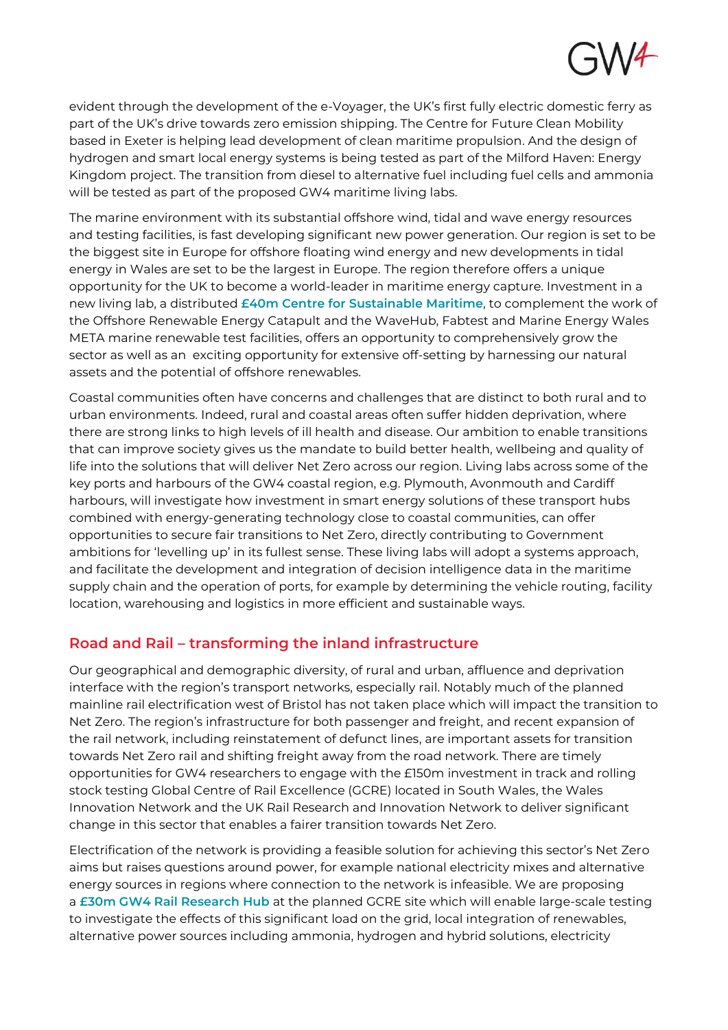

evident through the development of the e-Voyager, the UK's first fully electric domestic ferry as part of the UK's drive towards zero emission shipping. The Centre for Future Clean Mobility based in Exeter is helping lead development of clean maritime propulsion. And the design of hydrogen and smart local energy systems is being tested as part of the Milford Haven: Energy Kingdom project. The transition from diesel to alternative fuel including fuel cells and ammonia will be tested as part of the proposed GW4 maritime living labs.

The marine environment with its substantial offshore wind, tidal and wave energy resources and testing facilities, is fast developing significant new power generation. Our region is set to be the biggest site in Europe for offshore floating wind energy and new developments in tidal energy in Wales are set to be the largest in Europe. The region therefore offers a unique opportunity for the UK to become a world-leader in maritime energy capture. Investment in a new living lab, a distributed  $f$ 40m Centre for Sustainable Maritime, to complement the work of the Offshore Renewable Energy Catapult and the WaveHub, Fabtest and Marine Energy Wales META marine renewable test facilities, offers an opportunity to comprehensively grow the sector as well as an exciting opportunity for extensive off-setting by harnessing our natural assets and the potential of offshore renewables.

Coastal communities often have concerns and challenges that are distinct to both rural and to urban environments. Indeed, rural and coastal areas often suffer hidden deprivation, where there are strong links to high levels of ill health and disease. Our ambition to enable transitions that can improve society gives us the mandate to build better health, wellbeing and quality of life into the solutions that will deliver Net Zero across our region. Living labs across some of the key ports and harbours of the GW4 coastal region, e.g. Plymouth, Avonmouth and Cardiff harbours, will investigate how investment in smart energy solutions of these transport hubs combined with energy-generating technology close to coastal communities, can offer opportunities to secure fair transitions to Net Zero, directly contributing to Government ambitions for 'levelling up' in its fullest sense. These living labs will adopt a systems approach, and facilitate the development and integration of decision intelligence data in the maritime supply chain and the operation of ports, for example by determining the vehicle routing, facility location, warehousing and logistics in more efficient and sustainable ways.

### **Road and Rail – transforming the inland infrastructure**

Our geographical and demographic diversity, of rural and urban, affluence and deprivation interface with the region's transport networks, especially rail. Notably much of the planned mainline rail electrification west of Bristol has not taken place which will impact the transition to Net Zero. The region's infrastructure for both passenger and freight, and recent expansion of the rail network, including reinstatement of defunct lines, are important assets for transition towards Net Zero rail and shifting freight away from the road network. There are timely opportunities for GW4 researchers to engage with the £150m investment in track and rolling stock testing Global Centre of Rail Excellence (GCRE) located in South Wales, the Wales Innovation Network and the UK Rail Research and Innovation Network to deliver significant change in this sector that enables a fairer transition towards Net Zero.

Electrification of the network is providing a feasible solution for achieving this sector's Net Zero aims but raises questions around power, for example national electricity mixes and alternative energy sources in regions where connection to the network is infeasible. We are proposing a £30m GW4 Rail Research Hub at the planned GCRE site which will enable large-scale testing to investigate the effects of this significant load on the grid, local integration of renewables, alternative power sources including ammonia, hydrogen and hybrid solutions, electricity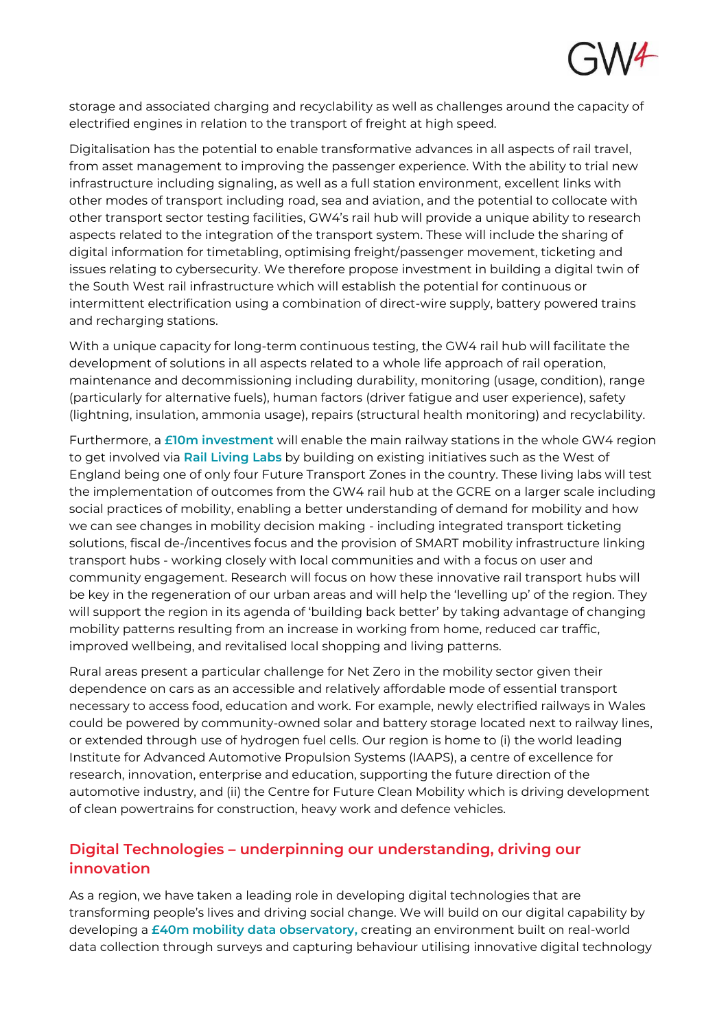

storage and associated charging and recyclability as well as challenges around the capacity of electrified engines in relation to the transport of freight at high speed.

Digitalisation has the potential to enable transformative advances in all aspects of rail travel, from asset management to improving the passenger experience. With the ability to trial new infrastructure including signaling, as well as a full station environment, excellent links with other modes of transport including road, sea and aviation, and the potential to collocate with other transport sector testing facilities, GW4's rail hub will provide a unique ability to research aspects related to the integration of the transport system. These will include the sharing of digital information for timetabling, optimising freight/passenger movement, ticketing and issues relating to cybersecurity. We therefore propose investment in building a digital twin of the South West rail infrastructure which will establish the potential for continuous or intermittent electrification using a combination of direct-wire supply, battery powered trains and recharging stations.

With a unique capacity for long-term continuous testing, the GW4 rail hub will facilitate the development of solutions in all aspects related to a whole life approach of rail operation, maintenance and decommissioning including durability, monitoring (usage, condition), range (particularly for alternative fuels), human factors (driver fatigue and user experience), safety (lightning, insulation, ammonia usage), repairs (structural health monitoring) and recyclability.

Furthermore, a **£10m investment** will enable the main railway stations in the whole GW4 region to get involved via Rail Living Labs by building on existing initiatives such as the West of England being one of only four Future Transport Zones in the country. These living labs will test the implementation of outcomes from the GW4 rail hub at the GCRE on a larger scale including social practices of mobility, enabling a better understanding of demand for mobility and how we can see changes in mobility decision making - including integrated transport ticketing solutions, fiscal de-/incentives focus and the provision of SMART mobility infrastructure linking transport hubs - working closely with local communities and with a focus on user and community engagement. Research will focus on how these innovative rail transport hubs will be key in the regeneration of our urban areas and will help the 'levelling up' of the region. They will support the region in its agenda of 'building back better' by taking advantage of changing mobility patterns resulting from an increase in working from home, reduced car traffic, improved wellbeing, and revitalised local shopping and living patterns.

Rural areas present a particular challenge for Net Zero in the mobility sector given their dependence on cars as an accessible and relatively affordable mode of essential transport necessary to access food, education and work. For example, newly electrified railways in Wales could be powered by community-owned solar and battery storage located next to railway lines, or extended through use of hydrogen fuel cells. Our region is home to (i) the world leading Institute for Advanced Automotive Propulsion Systems (IAAPS), a centre of excellence for research, innovation, enterprise and education, supporting the future direction of the automotive industry, and (ii) the Centre for Future Clean Mobility which is driving development of clean powertrains for construction, heavy work and defence vehicles.

## **Digital Technologies – underpinning our understanding, driving our innovation**

As a region, we have taken a leading role in developing digital technologies that are transforming people's lives and driving social change. We will build on our digital capability by developing a £40m mobility data observatory, creating an environment built on real-world data collection through surveys and capturing behaviour utilising innovative digital technology